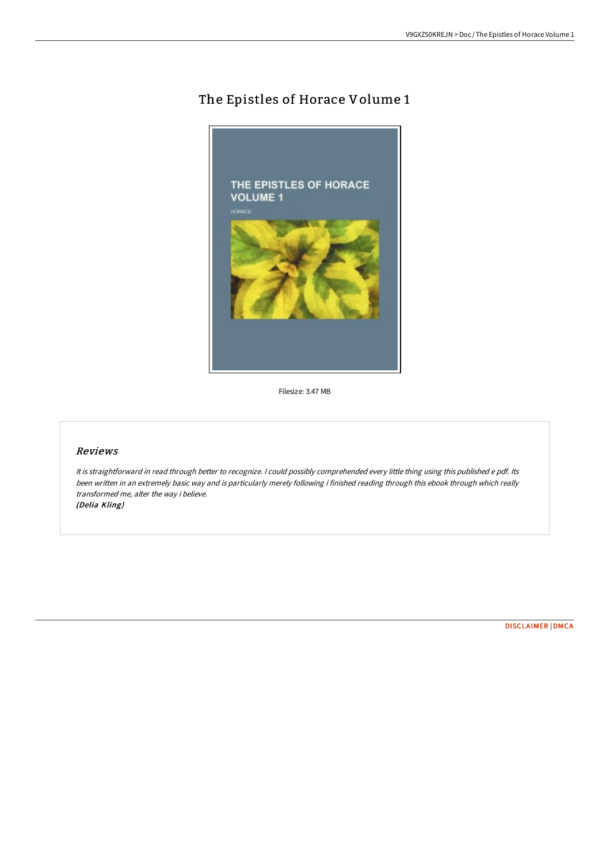# The Epistles of Horace Volume 1



Filesize: 3.47 MB

#### Reviews

It is straightforward in read through better to recognize. <sup>I</sup> could possibly comprehended every little thing using this published <sup>e</sup> pdf. Its been written in an extremely basic way and is particularly merely following i finished reading through this ebook through which really transformed me, alter the way i believe. (Delia Kling)

[DISCLAIMER](http://albedo.media/disclaimer.html) | [DMCA](http://albedo.media/dmca.html)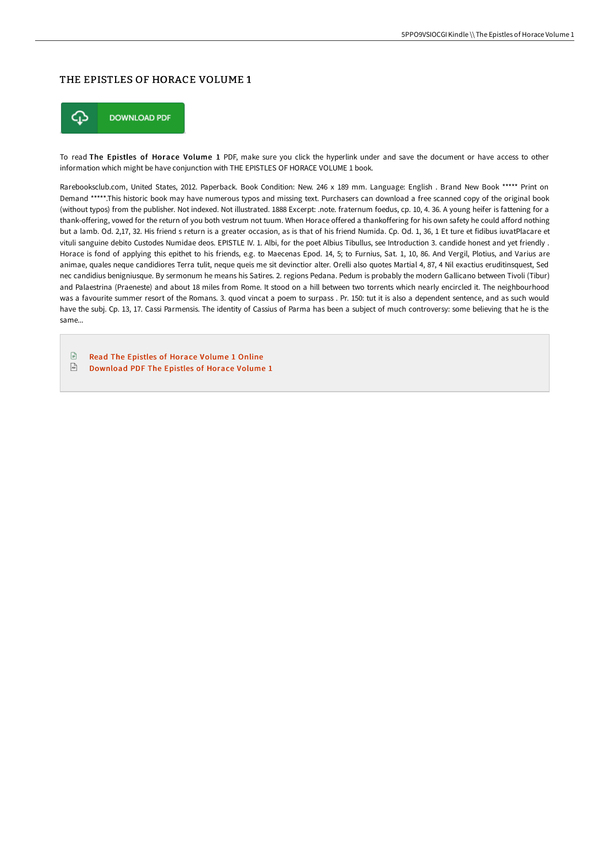### THE EPISTLES OF HORACE VOLUME 1



To read The Epistles of Horace Volume 1 PDF, make sure you click the hyperlink under and save the document or have access to other information which might be have conjunction with THE EPISTLES OF HORACE VOLUME 1 book.

Rarebooksclub.com, United States, 2012. Paperback. Book Condition: New. 246 x 189 mm. Language: English . Brand New Book \*\*\*\*\* Print on Demand \*\*\*\*\*.This historic book may have numerous typos and missing text. Purchasers can download a free scanned copy of the original book (without typos) from the publisher. Not indexed. Not illustrated. 1888 Excerpt: .note. fraternum foedus, cp. 10, 4. 36. A young heifer is fattening for a thank-offering, vowed for the return of you both vestrum not tuum. When Horace offered a thankoffering for his own safety he could afford nothing but a lamb. Od. 2,17, 32. His friend s return is a greater occasion, as is that of his friend Numida. Cp. Od. 1, 36, 1 Et ture et fidibus iuvatPlacare et vituli sanguine debito Custodes Numidae deos. EPISTLE IV. 1. Albi, for the poet Albius Tibullus, see Introduction 3. candide honest and yet friendly . Horace is fond of applying this epithet to his friends, e.g. to Maecenas Epod. 14, 5; to Furnius, Sat. 1, 10, 86. And Vergil, Plotius, and Varius are animae, quales neque candidiores Terra tulit, neque queis me sit devinctior alter. Orelli also quotes Martial 4, 87, 4 Nil exactius eruditinsquest, Sed nec candidius benigniusque. By sermonum he means his Satires. 2. regions Pedana. Pedum is probably the modern Gallicano between Tivoli (Tibur) and Palaestrina (Praeneste) and about 18 miles from Rome. It stood on a hill between two torrents which nearly encircled it. The neighbourhood was a favourite summer resort of the Romans. 3. quod vincat a poem to surpass . Pr. 150: tut it is also a dependent sentence, and as such would have the subj. Cp. 13, 17. Cassi Parmensis. The identity of Cassius of Parma has been a subject of much controversy: some believing that he is the same...

 $\boxed{\frac{1}{n}}$ Read The [Epistles](http://albedo.media/the-epistles-of-horace-volume-1-paperback.html) of Horace Volume 1 Online  $\overline{\mathbb{R}^n}$ [Download](http://albedo.media/the-epistles-of-horace-volume-1-paperback.html) PDF The Epistles of Horace Volume 1